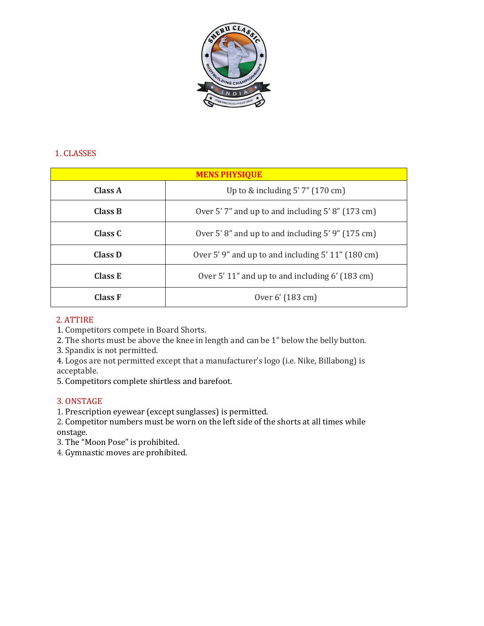

### 1. CLASSES

| <b>MENS PHYSIQUE</b> |                                                      |
|----------------------|------------------------------------------------------|
| Class A              | Up to $&$ including $5'$ 7" (170 cm)                 |
| Class B              | Over 5'7" and up to and including 5'8" (173 cm)      |
| Class C              | Over 5'8" and up to and including $5'9''$ (175 cm)   |
| Class D              | Over 5'9" and up to and including $5' 11'' (180 cm)$ |
| Class E              | Over 5' 11" and up to and including 6' (183 cm)      |
| <b>Class F</b>       | Over 6' (183 cm)                                     |

### 2. ATTIRE

1. Competitors compete in Board Shorts.

2. The shorts must be above the knee in length and can be 1" below the belly button.

3. Spandix is not permitted.

4. Logos are not permitted except that a manufacturer's logo (i.e. Nike, Billabong) is acceptable.

5. Competitors complete shirtless and barefoot.

#### 3. ONSTAGE

1. Prescription eyewear (except sunglasses) is permitted.

2. Competitor numbers must be worn on the left side of the shorts at all times while onstage.

3. The "Moon Pose" is prohibited.

4. Gymnastic moves are prohibited.